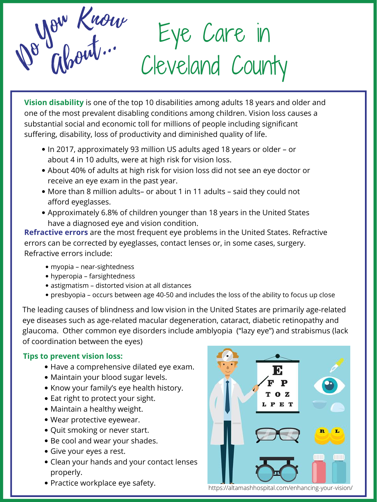- Have a comprehensive dilated eye exam.
- Maintain your blood sugar levels.
- Know your family's eye health history.
- Eat right to protect your sight.
- Maintain a healthy weight.
- Wear protective eyewear.
- Quit smoking or never start.
- Be cool and wear your shades.
- Give your eyes a rest.
- Clean your hands and your contact lenses properly.
- Practice workplace eye safety.



The leading causes of blindness and low vision in the United States are primarily age-related eye diseases such as age-related macular degeneration, cataract, diabetic retinopathy and glaucoma. Other common eye disorders include amblyopia ("lazy eye") and strabismus (lack of coordination between the eyes)

- In 2017, approximately 93 million US adults aged 18 years or older or about 4 in 10 adults, were at high risk for vision loss.
- About 40% of adults at high risk for vision loss did not see an eye doctor or receive an eye exam in the past year.
- More than 8 million adults– or about 1 in 11 adults said they could not afford eyeglasses.
- Approximately 6.8% of children younger than 18 years in the United States have a diagnosed eye and vision condition.

- myopia near-sightedness
- hyperopia farsightedness
- astigmatism distorted vision at all distances
- presbyopia occurs between age 40-50 and includes the loss of the ability to focus up close

Eye Care in Ab Cleveland County out... De Glorit.

**Vision disability** is one of the top 10 disabilities among adults 18 years and older and one of the most prevalent disabling conditions among children. Vision loss causes a substantial social and economic toll for millions of people including significant suffering, disability, loss of productivity and diminished quality of life.

**Refractive errors** are the most frequent eye problems in the United States. Refractive errors can be corrected by eyeglasses, contact lenses or, in some cases, surgery. Refractive errors include:

# **Tips to prevent vision loss:**

https://altamashhospital.com/enhancing-your-vision/